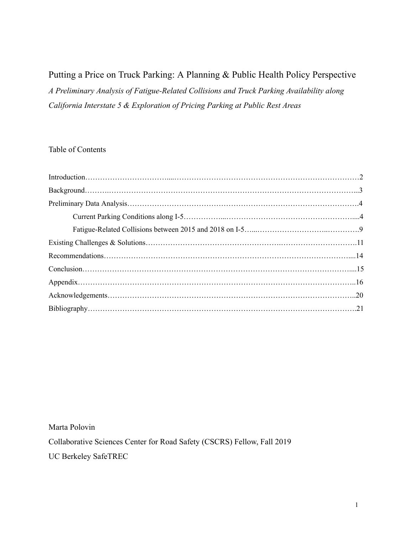## Putting a Price on Truck Parking: A Planning & Public Health Policy Perspective *A Preliminary Analysis of Fatigue-Related Collisions and Truck Parking Availability along California Interstate 5 & Exploration of Pricing Parking at Public Rest Areas*

### Table of Contents

Marta Polovin

Collaborative Sciences Center for Road Safety (CSCRS) Fellow, Fall 2019

UC Berkeley SafeTREC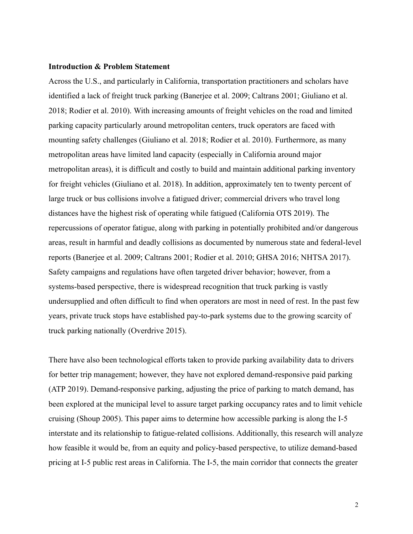#### **Introduction & Problem Statement**

Across the U.S., and particularly in California, transportation practitioners and scholars have identified a lack of freight truck parking (Banerjee et al. 2009; Caltrans 2001; Giuliano et al. 2018; Rodier et al. 2010). With increasing amounts of freight vehicles on the road and limited parking capacity particularly around metropolitan centers, truck operators are faced with mounting safety challenges (Giuliano et al. 2018; Rodier et al. 2010). Furthermore, as many metropolitan areas have limited land capacity (especially in California around major metropolitan areas), it is difficult and costly to build and maintain additional parking inventory for freight vehicles (Giuliano et al. 2018). In addition, approximately ten to twenty percent of large truck or bus collisions involve a fatigued driver; commercial drivers who travel long distances have the highest risk of operating while fatigued (California OTS 2019). The repercussions of operator fatigue, along with parking in potentially prohibited and/or dangerous areas, result in harmful and deadly collisions as documented by numerous state and federal-level reports (Banerjee et al. 2009; Caltrans 2001; Rodier et al. 2010; GHSA 2016; NHTSA 2017). Safety campaigns and regulations have often targeted driver behavior; however, from a systems-based perspective, there is widespread recognition that truck parking is vastly undersupplied and often difficult to find when operators are most in need of rest. In the past few years, private truck stops have established pay-to-park systems due to the growing scarcity of truck parking nationally (Overdrive 2015).

There have also been technological efforts taken to provide parking availability data to drivers for better trip management; however, they have not explored demand-responsive paid parking (ATP 2019). Demand-responsive parking, adjusting the price of parking to match demand, has been explored at the municipal level to assure target parking occupancy rates and to limit vehicle cruising (Shoup 2005). This paper aims to determine how accessible parking is along the I-5 interstate and its relationship to fatigue-related collisions. Additionally, this research will analyze how feasible it would be, from an equity and policy-based perspective, to utilize demand-based pricing at I-5 public rest areas in California. The I-5, the main corridor that connects the greater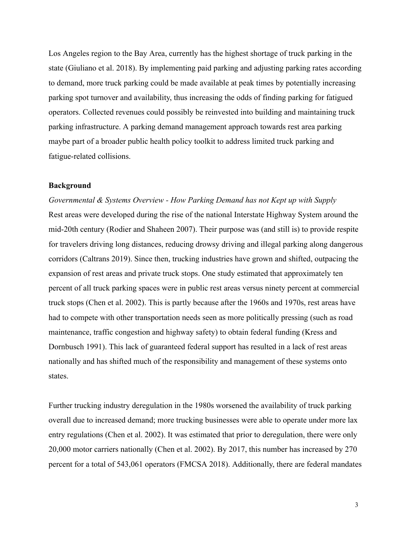Los Angeles region to the Bay Area, currently has the highest shortage of truck parking in the state (Giuliano et al. 2018). By implementing paid parking and adjusting parking rates according to demand, more truck parking could be made available at peak times by potentially increasing parking spot turnover and availability, thus increasing the odds of finding parking for fatigued operators. Collected revenues could possibly be reinvested into building and maintaining truck parking infrastructure. A parking demand management approach towards rest area parking maybe part of a broader public health policy toolkit to address limited truck parking and fatigue-related collisions.

#### **Background**

*Governmental & Systems Overview - How Parking Demand has not Kept up with Supply*  Rest areas were developed during the rise of the national Interstate Highway System around the mid-20th century (Rodier and Shaheen 2007). Their purpose was (and still is) to provide respite for travelers driving long distances, reducing drowsy driving and illegal parking along dangerous corridors (Caltrans 2019). Since then, trucking industries have grown and shifted, outpacing the expansion of rest areas and private truck stops. One study estimated that approximately ten percent of all truck parking spaces were in public rest areas versus ninety percent at commercial truck stops (Chen et al. 2002). This is partly because after the 1960s and 1970s, rest areas have had to compete with other transportation needs seen as more politically pressing (such as road maintenance, traffic congestion and highway safety) to obtain federal funding (Kress and Dornbusch 1991). This lack of guaranteed federal support has resulted in a lack of rest areas nationally and has shifted much of the responsibility and management of these systems onto states.

Further trucking industry deregulation in the 1980s worsened the availability of truck parking overall due to increased demand; more trucking businesses were able to operate under more lax entry regulations (Chen et al. 2002). It was estimated that prior to deregulation, there were only 20,000 motor carriers nationally (Chen et al. 2002). By 2017, this number has increased by 270 percent for a total of 543,061 operators (FMCSA 2018). Additionally, there are federal mandates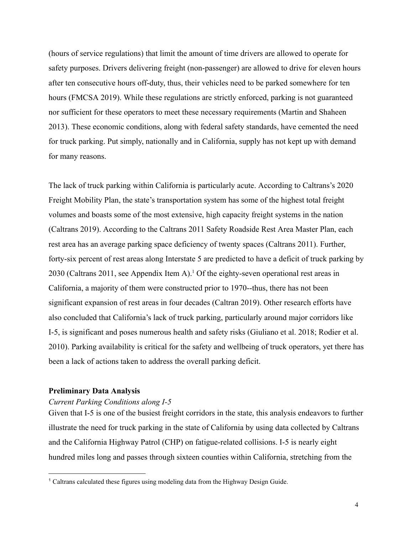(hours of service regulations) that limit the amount of time drivers are allowed to operate for safety purposes. Drivers delivering freight (non-passenger) are allowed to drive for eleven hours after ten consecutive hours off-duty, thus, their vehicles need to be parked somewhere for ten hours (FMCSA 2019). While these regulations are strictly enforced, parking is not guaranteed nor sufficient for these operators to meet these necessary requirements (Martin and Shaheen 2013). These economic conditions, along with federal safety standards, have cemented the need for truck parking. Put simply, nationally and in California, supply has not kept up with demand for many reasons.

The lack of truck parking within California is particularly acute. According to Caltrans's 2020 Freight Mobility Plan, the state's transportation system has some of the highest total freight volumes and boasts some of the most extensive, high capacity freight systems in the nation (Caltrans 2019). According to the Caltrans 2011 Safety Roadside Rest Area Master Plan, each rest area has an average parking space deficiency of twenty spaces (Caltrans 2011). Further, forty-six percent of rest areas along Interstate 5 are predicted to have a deficit of truck parking by 2030 (Caltrans 2011, see Appendix Item A).<sup>1</sup> Of the eighty-seven operational rest areas in California, a majority of them were constructed prior to 1970--thus, there has not been significant expansion of rest areas in four decades (Caltran 2019). Other research efforts have also concluded that California's lack of truck parking, particularly around major corridors like I-5, is significant and poses numerous health and safety risks (Giuliano et al. 2018; Rodier et al. 2010). Parking availability is critical for the safety and wellbeing of truck operators, yet there has been a lack of actions taken to address the overall parking deficit.

#### **Preliminary Data Analysis**

#### *Current Parking Conditions along I-5*

Given that I-5 is one of the busiest freight corridors in the state, this analysis endeavors to further illustrate the need for truck parking in the state of California by using data collected by Caltrans and the California Highway Patrol (CHP) on fatigue-related collisions. I-5 is nearly eight hundred miles long and passes through sixteen counties within California, stretching from the

<sup>&</sup>lt;sup>1</sup> Caltrans calculated these figures using modeling data from the Highway Design Guide.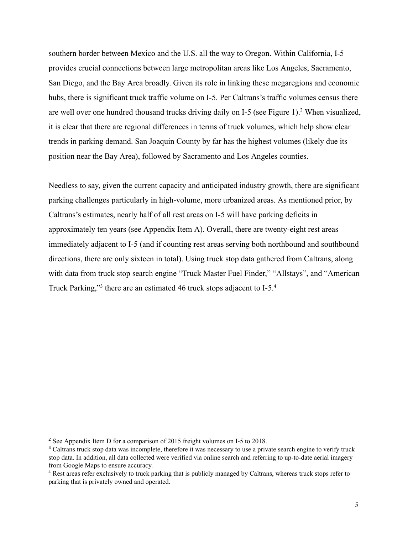southern border between Mexico and the U.S. all the way to Oregon. Within California, I-5 provides crucial connections between large metropolitan areas like Los Angeles, Sacramento, San Diego, and the Bay Area broadly. Given its role in linking these megaregions and economic hubs, there is significant truck traffic volume on I-5. Per Caltrans's traffic volumes census there are well over one hundred thousand trucks driving daily on I-5 (see Figure 1).<sup>2</sup> When visualized, it is clear that there are regional differences in terms of truck volumes, which help show clear trends in parking demand. San Joaquin County by far has the highest volumes (likely due its position near the Bay Area), followed by Sacramento and Los Angeles counties.

Needless to say, given the current capacity and anticipated industry growth, there are significant parking challenges particularly in high-volume, more urbanized areas. As mentioned prior, by Caltrans's estimates, nearly half of all rest areas on I-5 will have parking deficits in approximately ten years (see Appendix Item A). Overall, there are twenty-eight rest areas immediately adjacent to I-5 (and if counting rest areas serving both northbound and southbound directions, there are only sixteen in total). Using truck stop data gathered from Caltrans, along with data from truck stop search engine "Truck Master Fuel Finder," "Allstays", and "American Truck Parking,"<sup>3</sup> there are an estimated 46 truck stops adjacent to  $I-5<sup>4</sup>$ 

<sup>2</sup> See Appendix Item D for a comparison of 2015 freight volumes on I-5 to 2018.

<sup>&</sup>lt;sup>3</sup> Caltrans truck stop data was incomplete, therefore it was necessary to use a private search engine to verify truck stop data. In addition, all data collected were verified via online search and referring to up-to-date aerial imagery from Google Maps to ensure accuracy.

<sup>4</sup> Rest areas refer exclusively to truck parking that is publicly managed by Caltrans, whereas truck stops refer to parking that is privately owned and operated.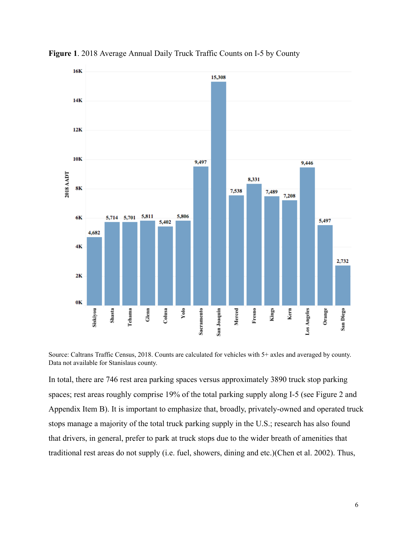

Figure 1. 2018 Average Annual Daily Truck Traffic Counts on I-5 by County

Source: Caltrans Traffic Census, 2018. Counts are calculated for vehicles with 5+ axles and averaged by county. Data not available for Stanislaus county.

In total, there are 746 rest area parking spaces versus approximately 3890 truck stop parking spaces; rest areas roughly comprise 19% of the total parking supply along I-5 (see Figure 2 and Appendix Item B). It is important to emphasize that, broadly, privately-owned and operated truck stops manage a majority of the total truck parking supply in the U.S.; research has also found that drivers, in general, prefer to park at truck stops due to the wider breath of amenities that traditional rest areas do not supply (i.e. fuel, showers, dining and etc.)(Chen et al. 2002). Thus,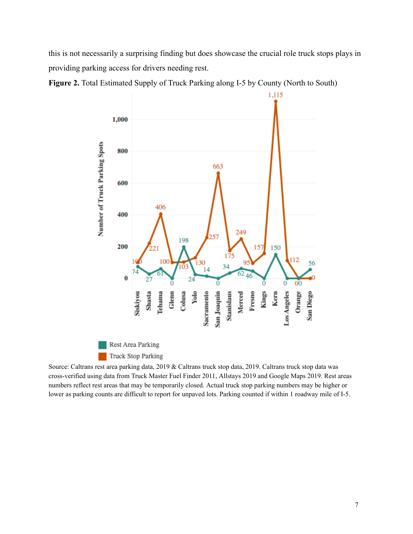this is not necessarily a surprising finding but does showcase the crucial role truck stops plays in providing parking access for drivers needing rest.



**Figure 2.** Total Estimated Supply of Truck Parking along I-5 by County (North to South)

Source: Caltrans rest area parking data, 2019 & Caltrans truck stop data, 2019. Caltrans truck stop data was cross-verified using data from Truck Master Fuel Finder 2011, Allstays 2019 and Google Maps 2019. Rest areas numbers reflect rest areas that may be temporarily closed. Actual truck stop parking numbers may be higher or lower as parking counts are difficult to report for unpaved lots. Parking counted if within 1 roadway mile of I-5.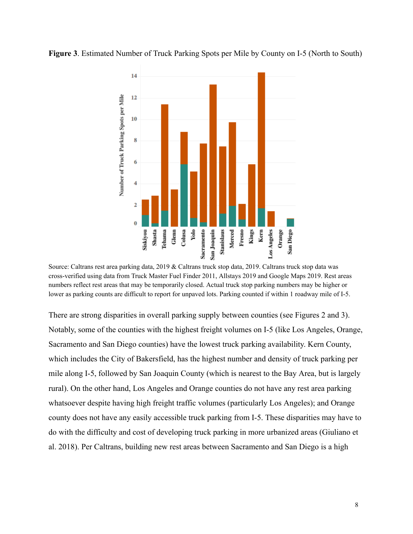



Source: Caltrans rest area parking data, 2019 & Caltrans truck stop data, 2019. Caltrans truck stop data was cross-verified using data from Truck Master Fuel Finder 2011, Allstays 2019 and Google Maps 2019. Rest areas numbers reflect rest areas that may be temporarily closed. Actual truck stop parking numbers may be higher or lower as parking counts are difficult to report for unpaved lots. Parking counted if within 1 roadway mile of I-5.

There are strong disparities in overall parking supply between counties (see Figures 2 and 3). Notably, some of the counties with the highest freight volumes on I-5 (like Los Angeles, Orange, Sacramento and San Diego counties) have the lowest truck parking availability. Kern County, which includes the City of Bakersfield, has the highest number and density of truck parking per mile along I-5, followed by San Joaquin County (which is nearest to the Bay Area, but is largely rural). On the other hand, Los Angeles and Orange counties do not have any rest area parking whatsoever despite having high freight traffic volumes (particularly Los Angeles); and Orange county does not have any easily accessible truck parking from I-5. These disparities may have to do with the difficulty and cost of developing truck parking in more urbanized areas (Giuliano et al. 2018). Per Caltrans, building new rest areas between Sacramento and San Diego is a high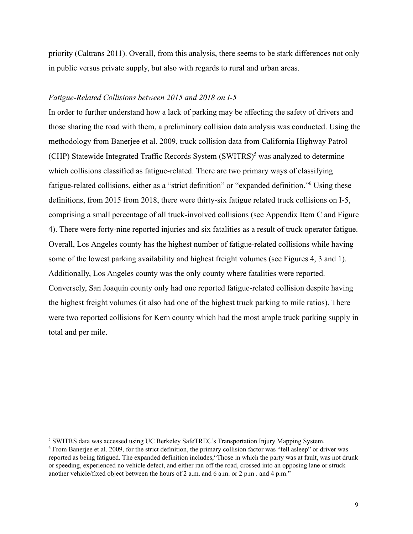priority (Caltrans 2011). Overall, from this analysis, there seems to be stark differences not only in public versus private supply, but also with regards to rural and urban areas.

#### *Fatigue-Related Collisions between 2015 and 2018 on I-5*

In order to further understand how a lack of parking may be affecting the safety of drivers and those sharing the road with them, a preliminary collision data analysis was conducted. Using the methodology from Banerjee et al. 2009, truck collision data from California Highway Patrol (CHP) Statewide Integrated Traffic Records System  $(SWITRS)^5$  was analyzed to determine which collisions classified as fatigue-related. There are two primary ways of classifying fatigue-related collisions, either as a "strict definition" or "expanded definition." Using these definitions, from 2015 from 2018, there were thirty-six fatigue related truck collisions on I-5, comprising a small percentage of all truck-involved collisions (see Appendix Item C and Figure 4 ). There were forty-nine reported injuries and six fatalities as a result of truck operator fatigue. Overall, Los Angeles county has the highest number of fatigue-related collisions while having some of the lowest parking availability and highest freight volumes (see Figures 4, 3 and 1). Additionally, Los Angeles county was the only county where fatalities were reported. Conversely, San Joaquin county only had one reported fatigue-related collision despite having the highest freight volumes (it also had one of the highest truck parking to mile ratios). There were two reported collisions for Kern county which had the most ample truck parking supply in total and per mile.

<sup>&</sup>lt;sup>5</sup> SWITRS data was accessed using UC Berkeley SafeTREC's Transportation Injury Mapping System.

<sup>6</sup> From Banerjee et al. 2009, for the strict definition, the primary collision factor was "fell asleep" or driver was reported as being fatigued. The expanded definition includes,"Those in which the party was at fault, was not drunk or speeding, experienced no vehicle defect, and either ran off the road, crossed into an opposing lane or struck another vehicle/fixed object between the hours of 2 a.m. and 6 a.m. or 2 p.m . and 4 p.m."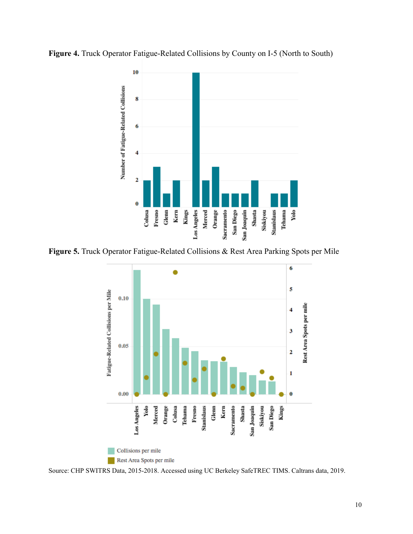



**Figure 5.** Truck Operator Fatigue-Related Collisions & Rest Area Parking Spots per Mile



Source: CHP SWITRS Data, 2015-2018. Accessed using UC Berkeley SafeTREC TIMS. Caltrans data, 2019.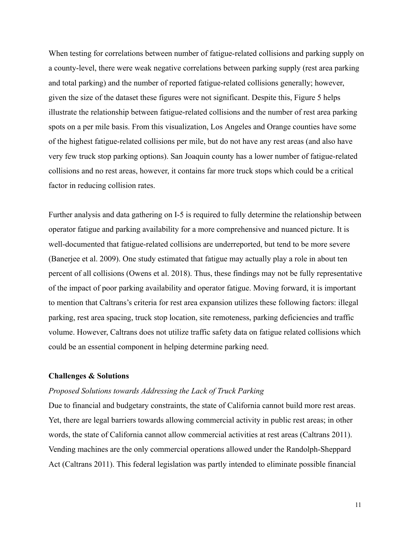When testing for correlations between number of fatigue-related collisions and parking supply on a county-level, there were weak negative correlations between parking supply (rest area parking and total parking) and the number of reported fatigue-related collisions generally; however, given the size of the dataset these figures were not significant. Despite this, Figure 5 helps illustrate the relationship between fatigue-related collisions and the number of rest area parking spots on a per mile basis. From this visualization, Los Angeles and Orange counties have some of the highest fatigue-related collisions per mile, but do not have any rest areas (and also have very few truck stop parking options). San Joaquin county has a lower number of fatigue-related collisions and no rest areas, however, it contains far more truck stops which could be a critical factor in reducing collision rates.

Further analysis and data gathering on I-5 is required to fully determine the relationship between operator fatigue and parking availability for a more comprehensive and nuanced picture. It is well-documented that fatigue-related collisions are underreported, but tend to be more severe (Banerjee et al. 2009). One study estimated that fatigue may actually play a role in about ten percent of all collisions (Owens et al. 2018). Thus, these findings may not be fully representative of the impact of poor parking availability and operator fatigue. Moving forward, it is important to mention that Caltrans's criteria for rest area expansion utilizes these following factors: illegal parking, rest area spacing, truck stop location, site remoteness, parking deficiencies and traffic volume. However, Caltrans does not utilize traffic safety data on fatigue related collisions which could be an essential component in helping determine parking need.

#### **Challenges & Solutions**

#### *Proposed Solutions towards Addressing the Lack of Truck Parking*

Due to financial and budgetary constraints, the state of California cannot build more rest areas. Yet, there are legal barriers towards allowing commercial activity in public rest areas; in other words, the state of California cannot allow commercial activities at rest areas (Caltrans 2011). Vending machines are the only commercial operations allowed under the Randolph-Sheppard Act (Caltrans 2011). This federal legislation was partly intended to eliminate possible financial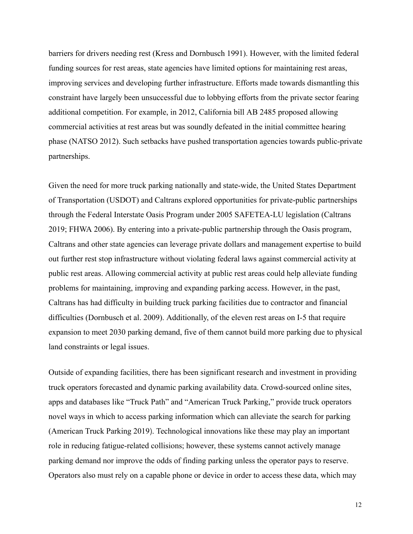barriers for drivers needing rest (Kress and Dornbusch 1991). However, with the limited federal funding sources for rest areas, state agencies have limited options for maintaining rest areas, improving services and developing further infrastructure. Efforts made towards dismantling this constraint have largely been unsuccessful due to lobbying efforts from the private sector fearing additional competition. For example, in 2012, California bill AB 2485 proposed allowing commercial activities at rest areas but was soundly defeated in the initial committee hearing phase (NATSO 2012). Such setbacks have pushed transportation agencies towards public-private partnerships.

Given the need for more truck parking nationally and state-wide, the United States Department of Transportation (USDOT) and Caltrans explored opportunities for private-public partnerships through the Federal Interstate Oasis Program under 2005 SAFETEA-LU legislation (Caltrans 2019; FHWA 2006). By entering into a private-public partnership through the Oasis program, Caltrans and other state agencies can leverage private dollars and management expertise to build out further rest stop infrastructure without violating federal laws against commercial activity at public rest areas. Allowing commercial activity at public rest areas could help alleviate funding problems for maintaining, improving and expanding parking access. However, in the past, Caltrans has had difficulty in building truck parking facilities due to contractor and financial difficulties (Dornbusch et al. 2009). Additionally, of the eleven rest areas on I-5 that require expansion to meet 2030 parking demand, five of them cannot build more parking due to physical land constraints or legal issues.

Outside of expanding facilities, there has been significant research and investment in providing truck operators forecasted and dynamic parking availability data. Crowd-sourced online sites, apps and databases like "Truck Path" and "American Truck Parking," provide truck operators novel ways in which to access parking information which can alleviate the search for parking (American Truck Parking 2019 ). Technological innovations like these may play an important role in reducing fatigue-related collisions; however, these systems cannot actively manage parking demand nor improve the odds of finding parking unless the operator pays to reserve. Operators also must rely on a capable phone or device in order to access these data, which may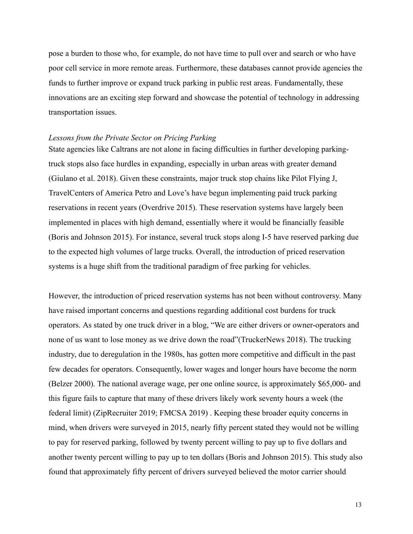pose a burden to those who, for example, do not have time to pull over and search or who have poor cell service in more remote areas. Furthermore, these databases cannot provide agencies the funds to further improve or expand truck parking in public rest areas. Fundamentally, these innovations are an exciting step forward and showcase the potential of technology in addressing transportation issues.

#### *Lessons from the Private Sector on Pricing Parking*

State agencies like Caltrans are not alone in facing difficulties in further developing parkingtruck stops also face hurdles in expanding, especially in urban areas with greater demand (Giulano et al. 2018). Given these constraints, major truck stop chains like Pilot Flying J, TravelCenters of America Petro and Love's have begun implementing paid truck parking reservations in recent years (Overdrive 2015). These reservation systems have largely been implemented in places with high demand, essentially where it would be financially feasible (Boris and Johnson 2015). For instance, several truck stops along I-5 have reserved parking due to the expected high volumes of large trucks. Overall, the introduction of priced reservation systems is a huge shift from the traditional paradigm of free parking for vehicles.

However, the introduction of priced reservation systems has not been without controversy. Many have raised important concerns and questions regarding additional cost burdens for truck operators. As stated by one truck driver in a blog, "We are either drivers or owner-operators and none of us want to lose money as we drive down the road"(TruckerNews 2018). The trucking industry, due to deregulation in the 1980s, has gotten more competitive and difficult in the past few decades for operators. Consequently, lower wages and longer hours have become the norm (Belzer 2000). The national average wage, per one online source, is approximately \$65,000- and this figure fails to capture that many of these drivers likely work seventy hours a week (the federal limit) (ZipRecruiter 2019; FMCSA 2019) . Keeping these broader equity concerns in mind, when drivers were surveyed in 2015, nearly fifty percent stated they would not be willing to pay for reserved parking, followed by twenty percent willing to pay up to five dollars and another twenty percent willing to pay up to ten dollars (Boris and Johnson 2015). This study also found that approximately fifty percent of drivers surveyed believed the motor carrier should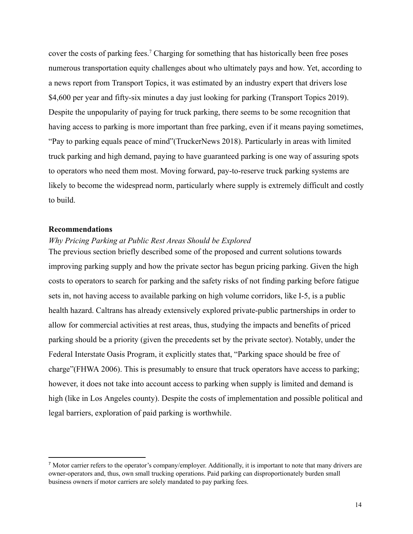cover the costs of parking fees.<sup>7</sup> Charging for something that has historically been free poses numerous transportation equity challenges about who ultimately pays and how. Yet, according to a news report from Transport Topics, it was estimated by an industry expert that drivers lose \$4,600 per year and fifty-six minutes a day just looking for parking (Transport Topics 2019). Despite the unpopularity of paying for truck parking, there seems to be some recognition that having access to parking is more important than free parking, even if it means paying sometimes, "Pay to parking equals peace of mind"(TruckerNews 2018). Particularly in areas with limited truck parking and high demand, paying to have guaranteed parking is one way of assuring spots to operators who need them most. Moving forward, pay-to-reserve truck parking systems are likely to become the widespread norm, particularly where supply is extremely difficult and costly to build.

#### **Recommendations**

#### *Why Pricing Parking at Public Rest Areas Should be Explored*

The previous section briefly described some of the proposed and current solutions towards improving parking supply and how the private sector has begun pricing parking. Given the high costs to operators to search for parking and the safety risks of not finding parking before fatigue sets in, not having access to available parking on high volume corridors, like I-5, is a public health hazard. Caltrans has already extensively explored private-public partnerships in order to allow for commercial activities at rest areas, thus, studying the impacts and benefits of priced parking should be a priority (given the precedents set by the private sector). Notably, under the Federal Interstate Oasis Program, it explicitly states that, "Parking space should be free of charge"(FHWA 2006). This is presumably to ensure that truck operators have access to parking; however, it does not take into account access to parking when supply is limited and demand is high (like in Los Angeles county). Despite the costs of implementation and possible political and legal barriers, exploration of paid parking is worthwhile.

 $<sup>7</sup>$  Motor carrier refers to the operator's company/employer. Additionally, it is important to note that many drivers are</sup> owner-operators and, thus, own small trucking operations. Paid parking can disproportionately burden small business owners if motor carriers are solely mandated to pay parking fees.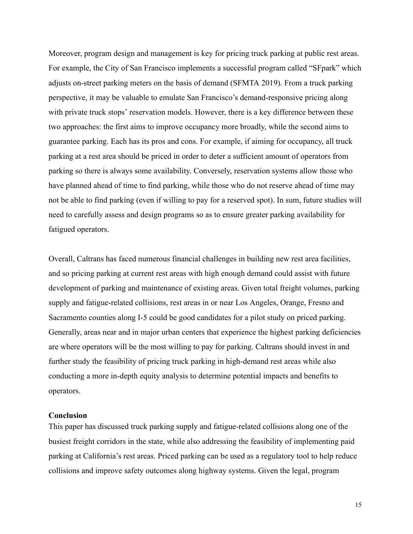Moreover, program design and management is key for pricing truck parking at public rest areas. For example, the City of San Francisco implements a successful program called "SFpark" which adjusts on-street parking meters on the basis of demand (SFMTA 2019). From a truck parking perspective, it may be valuable to emulate San Francisco's demand-responsive pricing along with private truck stops' reservation models. However, there is a key difference between these two approaches: the first aims to improve occupancy more broadly, while the second aims to guarantee parking. Each has its pros and cons. For example, if aiming for occupancy, all truck parking at a rest area should be priced in order to deter a sufficient amount of operators from parking so there is always some availability. Conversely, reservation systems allow those who have planned ahead of time to find parking, while those who do not reserve ahead of time may not be able to find parking (even if willing to pay for a reserved spot). In sum, future studies will need to carefully assess and design programs so as to ensure greater parking availability for fatigued operators.

Overall, Caltrans has faced numerous financial challenges in building new rest area facilities, and so pricing parking at current rest areas with high enough demand could assist with future development of parking and maintenance of existing areas. Given total freight volumes, parking supply and fatigue-related collisions, rest areas in or near Los Angeles, Orange, Fresno and Sacramento counties along I-5 could be good candidates for a pilot study on priced parking. Generally, areas near and in major urban centers that experience the highest parking deficiencies are where operators will be the most willing to pay for parking. Caltrans should invest in and further study the feasibility of pricing truck parking in high-demand rest areas while also conducting a more in-depth equity analysis to determine potential impacts and benefits to operators.

#### **Conclusion**

This paper has discussed truck parking supply and fatigue-related collisions along one of the busiest freight corridors in the state, while also addressing the feasibility of implementing paid parking at California's rest areas. Priced parking can be used as a regulatory tool to help reduce collisions and improve safety outcomes along highway systems. Given the legal, program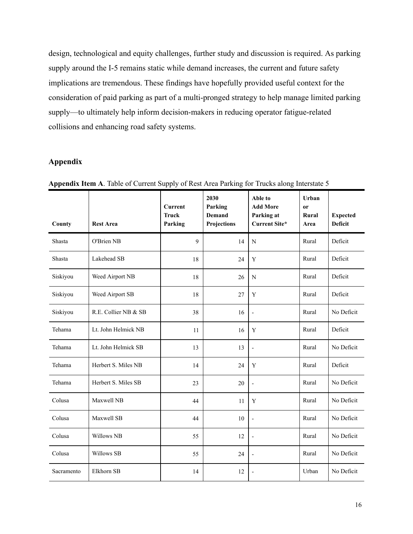design, technological and equity challenges, further study and discussion is required. As parking supply around the I-5 remains static while demand increases, the current and future safety implications are tremendous. These findings have hopefully provided useful context for the consideration of paid parking as part of a multi-pronged strategy to help manage limited parking supply—to ultimately help inform decision-makers in reducing operator fatigue-related collisions and enhancing road safety systems.

### **Appendix**

| County     | <b>Rest Area</b>     | <b>Current</b><br><b>Truck</b><br>Parking | 2030<br>Parking<br>Demand<br>Projections | Able to<br><b>Add More</b><br>Parking at<br><b>Current Site*</b> | Urban<br><sub>or</sub><br>Rural<br>Area | <b>Expected</b><br><b>Deficit</b> |
|------------|----------------------|-------------------------------------------|------------------------------------------|------------------------------------------------------------------|-----------------------------------------|-----------------------------------|
| Shasta     | O'Brien NB           | 9                                         | 14                                       | ${\bf N}$                                                        | Rural                                   | Deficit                           |
| Shasta     | Lakehead SB          | 18                                        | 24                                       | Y                                                                | Rural                                   | Deficit                           |
| Siskiyou   | Weed Airport NB      | 18                                        | 26                                       | N                                                                | Rural                                   | Deficit                           |
| Siskiyou   | Weed Airport SB      | 18                                        | 27                                       | Y                                                                | Rural                                   | Deficit                           |
| Siskiyou   | R.E. Collier NB & SB | 38                                        | 16                                       | $\frac{1}{2}$                                                    | Rural                                   | No Deficit                        |
| Tehama     | Lt. John Helmick NB  | 11                                        | 16                                       | Y                                                                | Rural                                   | Deficit                           |
| Tehama     | Lt. John Helmick SB  | 13                                        | 13                                       | $\overline{a}$                                                   | Rural                                   | No Deficit                        |
| Tehama     | Herbert S. Miles NB  | 14                                        | 24                                       | Y                                                                | Rural                                   | Deficit                           |
| Tehama     | Herbert S. Miles SB  | 23                                        | 20                                       | L,                                                               | Rural                                   | No Deficit                        |
| Colusa     | Maxwell NB           | 44                                        | 11                                       | Y                                                                | Rural                                   | No Deficit                        |
| Colusa     | Maxwell SB           | 44                                        | 10                                       | $\overline{a}$                                                   | Rural                                   | No Deficit                        |
| Colusa     | <b>Willows NB</b>    | 55                                        | 12                                       | ÷,                                                               | Rural                                   | No Deficit                        |
| Colusa     | Willows SB           | 55                                        | 24                                       | $\overline{a}$                                                   | Rural                                   | No Deficit                        |
| Sacramento | Elkhorn SB           | 14                                        | 12                                       | L,                                                               | Urban                                   | No Deficit                        |

**Appendix Item A**. Table of Current Supply of Rest Area Parking for Trucks along Interstate 5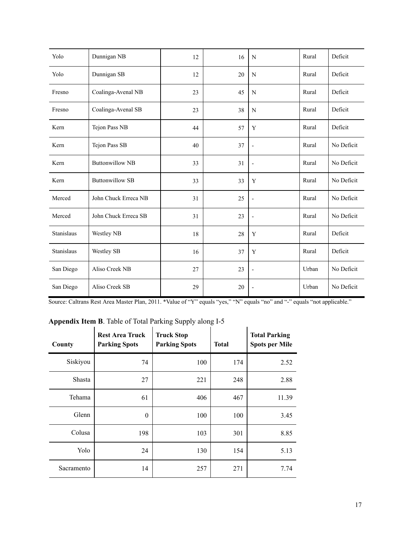| Yolo       | Dunnigan NB            | 12 | 16 | N                        | Rural | Deficit    |
|------------|------------------------|----|----|--------------------------|-------|------------|
| Yolo       | Dunnigan SB            | 12 | 20 | N                        | Rural | Deficit    |
| Fresno     | Coalinga-Avenal NB     | 23 | 45 | N                        | Rural | Deficit    |
| Fresno     | Coalinga-Avenal SB     | 23 | 38 | N                        | Rural | Deficit    |
| Kern       | Tejon Pass NB          | 44 | 57 | Y                        | Rural | Deficit    |
| Kern       | Tejon Pass SB          | 40 | 37 | $\overline{\phantom{a}}$ | Rural | No Deficit |
| Kern       | <b>Buttonwillow NB</b> | 33 | 31 | $\overline{\phantom{a}}$ | Rural | No Deficit |
| Kern       | <b>Buttonwillow SB</b> | 33 | 33 | Y                        | Rural | No Deficit |
| Merced     | John Chuck Erreca NB   | 31 | 25 | $\overline{\phantom{a}}$ | Rural | No Deficit |
| Merced     | John Chuck Erreca SB   | 31 | 23 | $\overline{a}$           | Rural | No Deficit |
| Stanislaus | Westley NB             | 18 | 28 | Y                        | Rural | Deficit    |
| Stanislaus | <b>Westley SB</b>      | 16 | 37 | Y                        | Rural | Deficit    |
| San Diego  | Aliso Creek NB         | 27 | 23 | $\overline{a}$           | Urban | No Deficit |
| San Diego  | Aliso Creek SB         | 29 | 20 |                          | Urban | No Deficit |

Source: Caltrans Rest Area Master Plan, 2011. \*Value of "Y" equals "yes," "N" equals "no" and "-" equals "not applicable."

# **Appendix Item B**. Table of Total Parking Supply along I-5

| County        | <b>Rest Area Truck</b><br><b>Parking Spots</b> | <b>Truck Stop</b><br><b>Parking Spots</b> | <b>Total</b> | <b>Total Parking</b><br><b>Spots per Mile</b> |
|---------------|------------------------------------------------|-------------------------------------------|--------------|-----------------------------------------------|
| Siskiyou      | 74                                             | 100                                       | 174          | 2.52                                          |
| <b>Shasta</b> | 27                                             | 221                                       | 248          | 2.88                                          |
| Tehama        | 61                                             | 406                                       | 467          | 11.39                                         |
| Glenn         | $\theta$                                       | 100                                       | 100          | 3.45                                          |
| Colusa        | 198                                            | 103                                       | 301          | 8.85                                          |
| Yolo          | 24                                             | 130                                       | 154          | 5.13                                          |
| Sacramento    | 14                                             | 257                                       | 271          | 7.74                                          |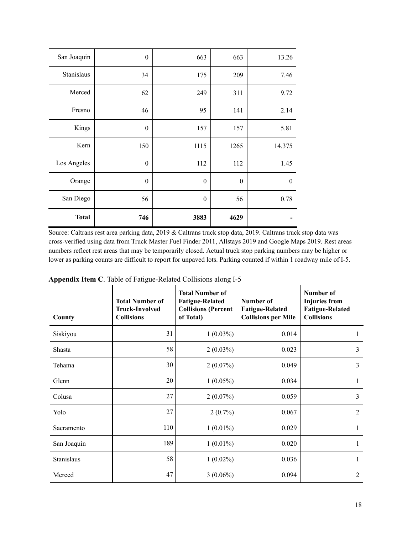| San Joaquin  | $\theta$         | 663              | 663              | 13.26            |
|--------------|------------------|------------------|------------------|------------------|
| Stanislaus   | 34               | 175              | 209              | 7.46             |
| Merced       | 62               | 249              | 311              | 9.72             |
| Fresno       | 46               | 95               | 141              | 2.14             |
| Kings        | $\boldsymbol{0}$ | 157              | 157              | 5.81             |
| Kern         | 150              | 1115             | 1265             | 14.375           |
| Los Angeles  | $\boldsymbol{0}$ | 112              | 112              | 1.45             |
| Orange       | $\boldsymbol{0}$ | $\boldsymbol{0}$ | $\boldsymbol{0}$ | $\boldsymbol{0}$ |
| San Diego    | 56               | $\theta$         | 56               | 0.78             |
| <b>Total</b> | 746              | 3883             | 4629             |                  |

Source: Caltrans rest area parking data, 2019 & Caltrans truck stop data, 2019. Caltrans truck stop data was cross-verified using data from Truck Master Fuel Finder 2011, Allstays 2019 and Google Maps 2019. Rest areas numbers reflect rest areas that may be temporarily closed. Actual truck stop parking numbers may be higher or lower as parking counts are difficult to report for unpaved lots. Parking counted if within 1 roadway mile of I-5.

| -rr<br>County | <b>Total Number of</b><br><b>Truck-Involved</b><br><b>Collisions</b> | <b>Total Number of</b><br><b>Fatigue-Related</b><br><b>Collisions (Percent</b><br>of Total) | Number of<br><b>Fatigue-Related</b><br><b>Collisions per Mile</b> | Number of<br><b>Injuries from</b><br><b>Fatigue-Related</b><br><b>Collisions</b> |
|---------------|----------------------------------------------------------------------|---------------------------------------------------------------------------------------------|-------------------------------------------------------------------|----------------------------------------------------------------------------------|
| Siskiyou      | 31                                                                   | $1(0.03\%)$                                                                                 | 0.014                                                             |                                                                                  |
| Shasta        | 58                                                                   | $2(0.03\%)$                                                                                 | 0.023                                                             | 3                                                                                |
| Tehama        | 30                                                                   | $2(0.07\%)$                                                                                 | 0.049                                                             | 3                                                                                |
| Glenn         | 20                                                                   | $1(0.05\%)$                                                                                 | 0.034                                                             | 1                                                                                |
| Colusa        | 27                                                                   | $2(0.07\%)$                                                                                 | 0.059                                                             | 3                                                                                |
| Yolo          | 27                                                                   | $2(0.7\%)$                                                                                  | 0.067                                                             | $\overline{2}$                                                                   |
| Sacramento    | 110                                                                  | $1(0.01\%)$                                                                                 | 0.029                                                             | 1                                                                                |
| San Joaquin   | 189                                                                  | $1(0.01\%)$                                                                                 | 0.020                                                             | $\mathbf{1}$                                                                     |
| Stanislaus    | 58                                                                   | $1(0.02\%)$                                                                                 | 0.036                                                             | 1                                                                                |
| Merced        | 47                                                                   | $3(0.06\%)$                                                                                 | 0.094                                                             | $\overline{2}$                                                                   |

|  | Appendix Item C. Table of Fatigue-Related Collisions along I-5 |  |  |
|--|----------------------------------------------------------------|--|--|
|  |                                                                |  |  |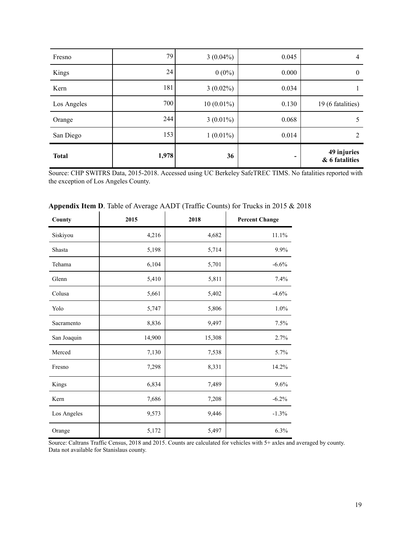| Fresno       | 79    | $3(0.04\%)$  | 0.045 | 4                             |
|--------------|-------|--------------|-------|-------------------------------|
| Kings        | 24    | $0(0\%)$     | 0.000 | $\theta$                      |
| Kern         | 181   | $3(0.02\%)$  | 0.034 |                               |
| Los Angeles  | 700   | $10(0.01\%)$ | 0.130 | 19 (6 fatalities)             |
| Orange       | 244   | $3(0.01\%)$  | 0.068 | 5                             |
| San Diego    | 153   | $1(0.01\%)$  | 0.014 | $\mathfrak{D}$                |
| <b>Total</b> | 1,978 | 36           | -     | 49 injuries<br>& 6 fatalities |

Source: CHP SWITRS Data, 2015-2018. Accessed using UC Berkeley SafeTREC TIMS. No fatalities reported with the exception of Los Angeles County.

| County      | 2015   | 2018   | <b>Percent Change</b> |
|-------------|--------|--------|-----------------------|
| Siskiyou    | 4,216  | 4,682  | 11.1%                 |
| Shasta      | 5,198  | 5,714  | 9.9%                  |
| Tehama      | 6,104  | 5,701  | $-6.6%$               |
| Glenn       | 5,410  | 5,811  | 7.4%                  |
| Colusa      | 5,661  | 5,402  | $-4.6%$               |
| Yolo        | 5,747  | 5,806  | 1.0%                  |
| Sacramento  | 8,836  | 9,497  | 7.5%                  |
| San Joaquin | 14,900 | 15,308 | 2.7%                  |
| Merced      | 7,130  | 7,538  | 5.7%                  |
| Fresno      | 7,298  | 8,331  | 14.2%                 |
| Kings       | 6,834  | 7,489  | 9.6%                  |
| Kern        | 7,686  | 7,208  | $-6.2%$               |
| Los Angeles | 9,573  | 9,446  | $-1.3%$               |
| Orange      | 5,172  | 5,497  | 6.3%                  |

# **Appendix Item D**. Table of Average AADT (Traffic Counts) for Trucks in 2015 & 2018

Source: Caltrans Traffic Census, 2018 and 2015. Counts are calculated for vehicles with 5+ axles and averaged by county. Data not available for Stanislaus county.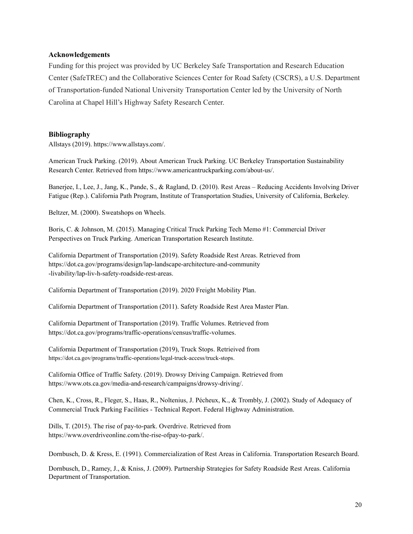#### **Acknowledgements**

Funding for this project was provided by UC Berkeley Safe Transportation and Research Education Center (SafeTREC) and the Collaborative Sciences Center for Road Safety (CSCRS), a U.S. Department of Transportation-funded National University Transportation Center led by the University of North Carolina at Chapel Hill's Highway Safety Research Center.

#### **Bibliography**

Allstays (2019). https://www.allstays.com/.

American Truck Parking. (2019). About American Truck Parking. UC Berkeley Transportation Sustainability Research Center. Retrieved from https://www.americantruckparking.com/about-us/.

Banerjee, I., Lee, J., Jang, K., Pande, S., & Ragland, D. (2010). Rest Areas – Reducing Accidents Involving Driver Fatigue (Rep.). California Path Program, Institute of Transportation Studies, University of California, Berkeley.

Beltzer, M. (2000). Sweatshops on Wheels.

Boris, C. & Johnson, M. (2015). Managing Critical Truck Parking Tech Memo #1: Commercial Driver Perspectives on Truck Parking. American Transportation Research Institute.

California Department of Transportation (2019). Safety Roadside Rest Areas. Retrieved from https://dot.ca.gov/programs/design/lap-landscape-architecture-and-community -livability/lap-liv-h-safety-roadside-rest-areas.

California Department of Transportation (2019). 2020 Freight Mobility Plan.

California Department of Transportation (2011). Safety Roadside Rest Area Master Plan.

California Department of Transportation (2019). Traffic Volumes. Retrieved from https://dot.ca.gov/programs/traffic-operations/census/traffic-volumes.

California Department of Transportation (2019), Truck Stops. Retrieived from https://dot.ca.gov/programs/traffic-operations/legal-truck-access/truck-stops.

California Office of Traffic Safety. (2019). Drowsy Driving Campaign. Retrieved from https://www.ots.ca.gov/media-and-research/campaigns/drowsy-driving/.

Chen, K., Cross, R., Fleger, S., Haas, R., Noltenius, J. Pécheux, K., & Trombly, J. (2002). Study of Adequacy of Commercial Truck Parking Facilities - Technical Report. Federal Highway Administration.

Dills, T. (2015). The rise of pay-to-park. Overdrive. Retrieved from https://www.overdriveonline.com/the-rise-ofpay-to-park/.

Dornbusch, D. & Kress, E. (1991). Commercialization of Rest Areas in California. Transportation Research Board.

Dornbusch, D., Ramey, J., & Kniss, J. (2009). Partnership Strategies for Safety Roadside Rest Areas. California Department of Transportation.